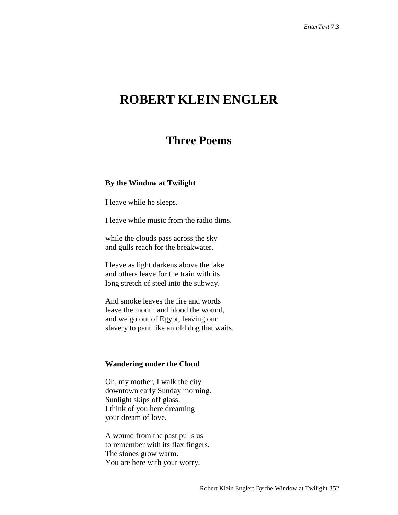# **ROBERT KLEIN ENGLER**

## **Three Poems**

#### **By the Window at Twilight**

I leave while he sleeps.

I leave while music from the radio dims,

while the clouds pass across the sky and gulls reach for the breakwater.

I leave as light darkens above the lake and others leave for the train with its long stretch of steel into the subway.

And smoke leaves the fire and words leave the mouth and blood the wound, and we go out of Egypt, leaving our slavery to pant like an old dog that waits.

### **Wandering under the Cloud**

Oh, my mother, I walk the city downtown early Sunday morning. Sunlight skips off glass. I think of you here dreaming your dream of love.

A wound from the past pulls us to remember with its flax fingers. The stones grow warm. You are here with your worry,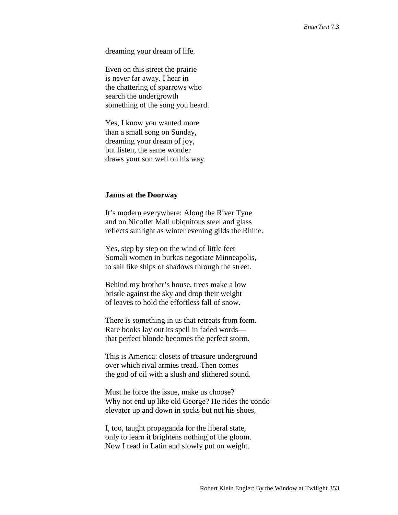dreaming your dream of life.

Even on this street the prairie is never far away. I hear in the chattering of sparrows who search the undergrowth something of the song you heard.

Yes, I know you wanted more than a small song on Sunday, dreaming your dream of joy, but listen, the same wonder draws your son well on his way.

#### **Janus at the Doorway**

It's modern everywhere: Along the River Tyne and on Nicollet Mall ubiquitous steel and glass reflects sunlight as winter evening gilds the Rhine.

Yes, step by step on the wind of little feet Somali women in burkas negotiate Minneapolis, to sail like ships of shadows through the street.

Behind my brother's house, trees make a low bristle against the sky and drop their weight of leaves to hold the effortless fall of snow.

There is something in us that retreats from form. Rare books lay out its spell in faded words that perfect blonde becomes the perfect storm.

This is America: closets of treasure underground over which rival armies tread. Then comes the god of oil with a slush and slithered sound.

Must he force the issue, make us choose? Why not end up like old George? He rides the condo elevator up and down in socks but not his shoes,

I, too, taught propaganda for the liberal state, only to learn it brightens nothing of the gloom. Now I read in Latin and slowly put on weight.